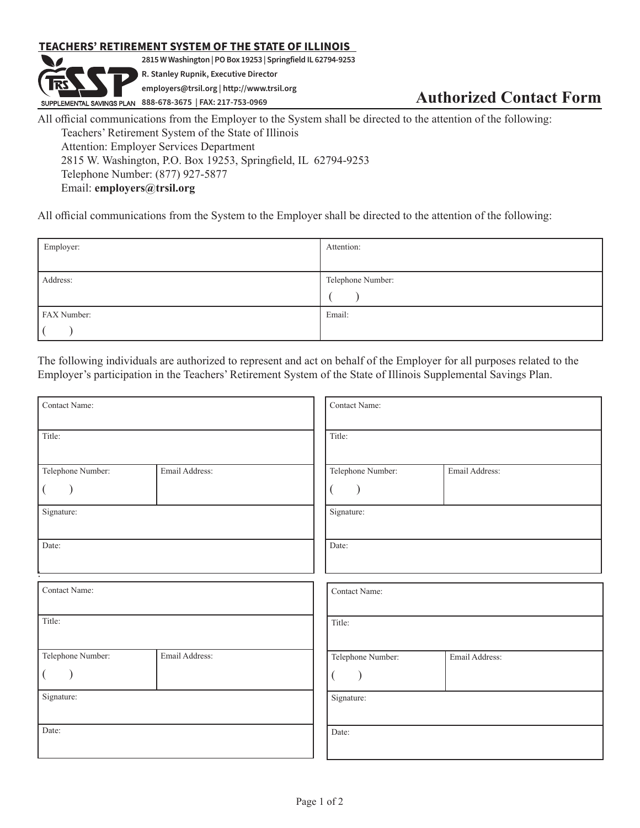## **TEACHERS' RETIREMENT SYSTEM OF THE STATE OF ILLINOIS**

**2815 W Washington | PO Box 19253 | Springfield IL 62794-9253 R. Stanley Rupnik, Executive Director employers@trsil.org | http://www.trsil.org RUPPLEMENTAL SAVINGS PLAN** 888-678-3675 | FAX: 217-753-0969 **Authorized Contact Form** 

All official communications from the Employer to the System shall be directed to the attention of the following: Teachers' Retirement System of the State of Illinois Attention: Employer Services Department 2815 W. Washington, P.O. Box 19253, Springfield, IL 62794-9253 Telephone Number: (877) 927-5877 Email: **employers@trsil.org**

All official communications from the System to the Employer shall be directed to the attention of the following:

| Employer:   | Attention:        |
|-------------|-------------------|
|             |                   |
| Address:    | Telephone Number: |
|             |                   |
| FAX Number: | Email:            |
|             |                   |

The following individuals are authorized to represent and act on behalf of the Employer for all purposes related to the Employer's participation in the Teachers' Retirement System of the State of Illinois Supplemental Savings Plan.

| Contact Name:                   |                | Contact Name:                   |                |  |
|---------------------------------|----------------|---------------------------------|----------------|--|
| Title:                          |                | Title:                          |                |  |
| Telephone Number:<br>Signature: | Email Address: | Telephone Number:<br>Signature: | Email Address: |  |
| Date:                           |                | Date:                           |                |  |
| Contact Name:                   |                | Contact Name:                   |                |  |
| Title:                          |                | Title:                          |                |  |
| Telephone Number:               | Email Address: | Telephone Number:               | Email Address: |  |
| Signature:                      |                | Signature:                      |                |  |
| Date:                           |                | Date:                           |                |  |